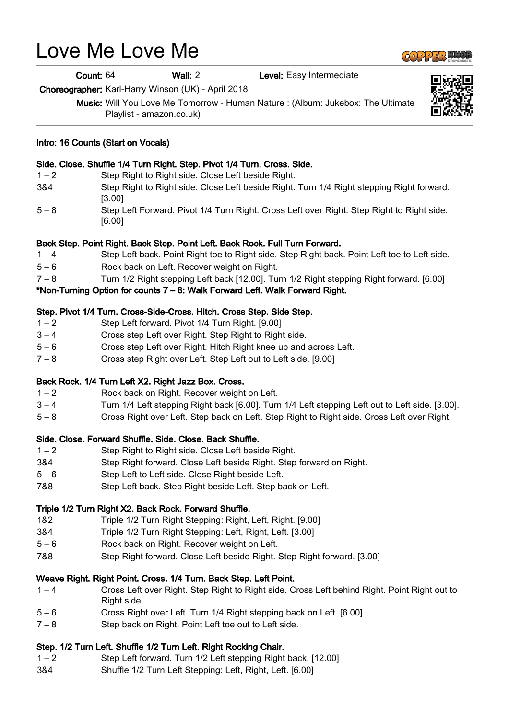# Love Me Love Me

Count: 64 Wall: 2 Level: Easy Intermediate

Choreographer: Karl-Harry Winson (UK) - April 2018

Music: Will You Love Me Tomorrow - Human Nature : (Album: Jukebox: The Ultimate Playlist - amazon.co.uk)

#### Intro: 16 Counts (Start on Vocals)

#### Side. Close. Shuffle 1/4 Turn Right. Step. Pivot 1/4 Turn. Cross. Side.

- 1 2 Step Right to Right side. Close Left beside Right.
- 3&4 Step Right to Right side. Close Left beside Right. Turn 1/4 Right stepping Right forward. [3.00]
- 5 8 Step Left Forward. Pivot 1/4 Turn Right. Cross Left over Right. Step Right to Right side. [6.00]

#### Back Step. Point Right. Back Step. Point Left. Back Rock. Full Turn Forward.

- 1 4 Step Left back. Point Right toe to Right side. Step Right back. Point Left toe to Left side.
- 5 6 Rock back on Left. Recover weight on Right.
- 7 8 Turn 1/2 Right stepping Left back [12.00]. Turn 1/2 Right stepping Right forward. [6.00]

## \*Non-Turning Option for counts 7 – 8: Walk Forward Left. Walk Forward Right.

### Step. Pivot 1/4 Turn. Cross-Side-Cross. Hitch. Cross Step. Side Step.

- 1 2 Step Left forward. Pivot 1/4 Turn Right. [9.00]
- 3 4 Cross step Left over Right. Step Right to Right side.
- 5 6 Cross step Left over Right. Hitch Right knee up and across Left.
- 7 8 Cross step Right over Left. Step Left out to Left side. [9.00]

#### Back Rock. 1/4 Turn Left X2. Right Jazz Box. Cross.

- 1 2 Rock back on Right. Recover weight on Left.
- 3 4 Turn 1/4 Left stepping Right back [6.00]. Turn 1/4 Left stepping Left out to Left side. [3.00].
- 5 8 Cross Right over Left. Step back on Left. Step Right to Right side. Cross Left over Right.

#### Side. Close. Forward Shuffle. Side. Close. Back Shuffle.

- 1 2 Step Right to Right side. Close Left beside Right.
- 3&4 Step Right forward. Close Left beside Right. Step forward on Right.
- 5 6 Step Left to Left side. Close Right beside Left.
- 7&8 Step Left back. Step Right beside Left. Step back on Left.

## Triple 1/2 Turn Right X2. Back Rock. Forward Shuffle.

- 1&2 Triple 1/2 Turn Right Stepping: Right, Left, Right. [9.00]
- 3&4 Triple 1/2 Turn Right Stepping: Left, Right, Left. [3.00]
- 5 6 Rock back on Right. Recover weight on Left.
- 7&8 Step Right forward. Close Left beside Right. Step Right forward. [3.00]

## Weave Right. Right Point. Cross. 1/4 Turn. Back Step. Left Point.

- 1 4 Cross Left over Right. Step Right to Right side. Cross Left behind Right. Point Right out to Right side.
- 5 6 Cross Right over Left. Turn 1/4 Right stepping back on Left. [6.00]
- 7 8 Step back on Right. Point Left toe out to Left side.

## Step. 1/2 Turn Left. Shuffle 1/2 Turn Left. Right Rocking Chair.

- 1 2 Step Left forward. Turn 1/2 Left stepping Right back. [12.00]
- 3&4 Shuffle 1/2 Turn Left Stepping: Left, Right, Left. [6.00]